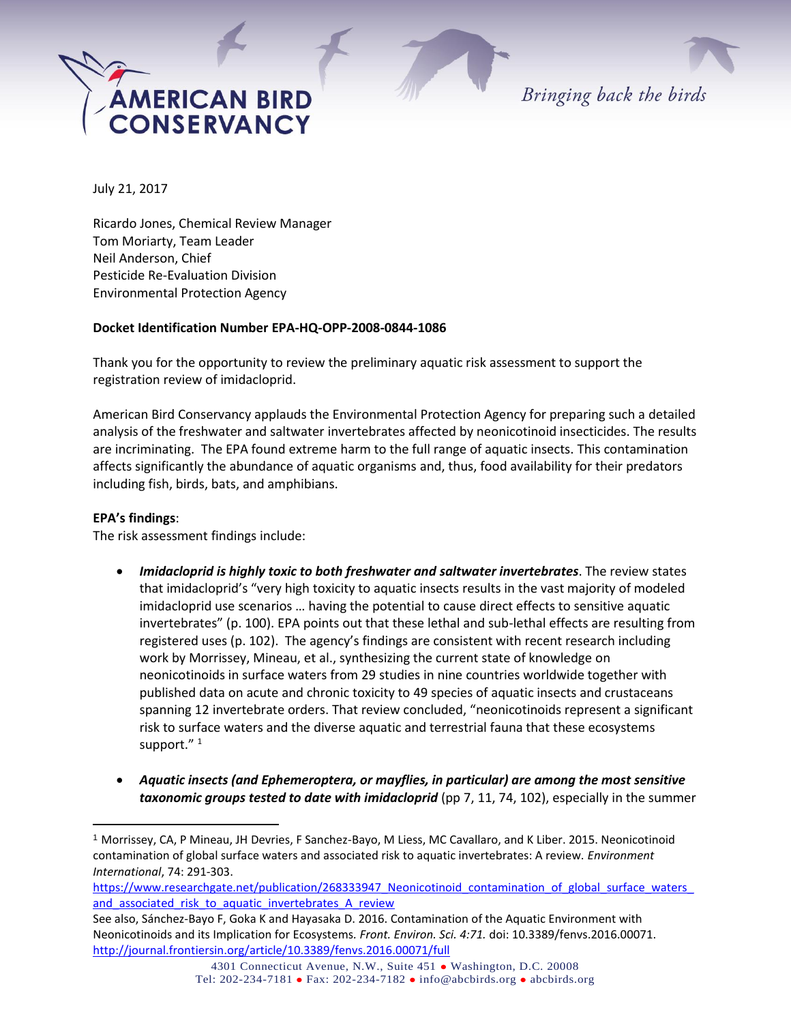

Bringing back the birds

July 21, 2017

Ricardo Jones, Chemical Review Manager Tom Moriarty, Team Leader Neil Anderson, Chief Pesticide Re-Evaluation Division Environmental Protection Agency

### **Docket Identification Number EPA-HQ-OPP-2008-0844-1086**

Thank you for the opportunity to review the preliminary aquatic risk assessment to support the registration review of imidacloprid.

American Bird Conservancy applauds the Environmental Protection Agency for preparing such a detailed analysis of the freshwater and saltwater invertebrates affected by neonicotinoid insecticides. The results are incriminating. The EPA found extreme harm to the full range of aquatic insects. This contamination affects significantly the abundance of aquatic organisms and, thus, food availability for their predators including fish, birds, bats, and amphibians.

#### **EPA's findings**:

 $\overline{a}$ 

The risk assessment findings include:

- *Imidacloprid is highly toxic to both freshwater and saltwater invertebrates*. The review states that imidacloprid's "very high toxicity to aquatic insects results in the vast majority of modeled imidacloprid use scenarios … having the potential to cause direct effects to sensitive aquatic invertebrates" (p. 100). EPA points out that these lethal and sub-lethal effects are resulting from registered uses (p. 102). The agency's findings are consistent with recent research including work by Morrissey, Mineau, et al., synthesizing the current state of knowledge on neonicotinoids in surface waters from 29 studies in nine countries worldwide together with published data on acute and chronic toxicity to 49 species of aquatic insects and crustaceans spanning 12 invertebrate orders. That review concluded, "neonicotinoids represent a significant risk to surface waters and the diverse aquatic and terrestrial fauna that these ecosystems support."<sup>1</sup>
- *Aquatic insects (and Ephemeroptera, or mayflies, in particular) are among the most sensitive taxonomic groups tested to date with imidacloprid* (pp 7, 11, 74, 102), especially in the summer

<sup>1</sup> Morrissey, CA, P Mineau, JH Devries, F Sanchez-Bayo, M Liess, MC Cavallaro, and K Liber. 2015. Neonicotinoid contamination of global surface waters and associated risk to aquatic invertebrates: A review. *Environment International*, 74: 291-303.

https://www.researchgate.net/publication/268333947\_Neonicotinoid\_contamination\_of\_global\_surface\_waters and associated risk to aquatic invertebrates A review

See also, Sánchez-Bayo F, Goka K and Hayasaka D. 2016. Contamination of the Aquatic Environment with Neonicotinoids and its Implication for Ecosystems*. Front. Environ. Sci. 4:71.* doi: 10.3389/fenvs.2016.00071. <http://journal.frontiersin.org/article/10.3389/fenvs.2016.00071/full>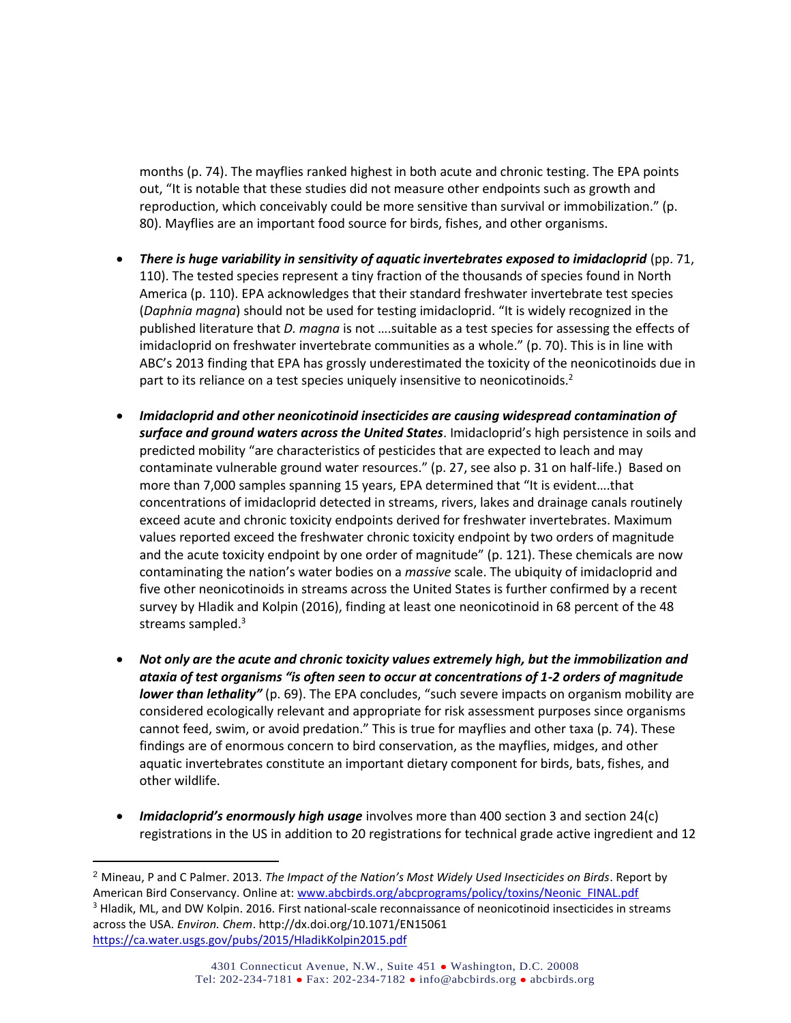months (p. 74). The mayflies ranked highest in both acute and chronic testing. The EPA points out, "It is notable that these studies did not measure other endpoints such as growth and reproduction, which conceivably could be more sensitive than survival or immobilization." (p. 80). Mayflies are an important food source for birds, fishes, and other organisms.

- *There is huge variability in sensitivity of aquatic invertebrates exposed to imidacloprid* (pp. 71, 110). The tested species represent a tiny fraction of the thousands of species found in North America (p. 110). EPA acknowledges that their standard freshwater invertebrate test species (*Daphnia magna*) should not be used for testing imidacloprid. "It is widely recognized in the published literature that *D. magna* is not ….suitable as a test species for assessing the effects of imidacloprid on freshwater invertebrate communities as a whole." (p. 70). This is in line with ABC's 2013 finding that EPA has grossly underestimated the toxicity of the neonicotinoids due in part to its reliance on a test species uniquely insensitive to neonicotinoids. $2$
- *Imidacloprid and other neonicotinoid insecticides are causing widespread contamination of surface and ground waters across the United States*. Imidacloprid's high persistence in soils and predicted mobility "are characteristics of pesticides that are expected to leach and may contaminate vulnerable ground water resources." (p. 27, see also p. 31 on half-life.) Based on more than 7,000 samples spanning 15 years, EPA determined that "It is evident….that concentrations of imidacloprid detected in streams, rivers, lakes and drainage canals routinely exceed acute and chronic toxicity endpoints derived for freshwater invertebrates. Maximum values reported exceed the freshwater chronic toxicity endpoint by two orders of magnitude and the acute toxicity endpoint by one order of magnitude" (p. 121). These chemicals are now contaminating the nation's water bodies on a *massive* scale. The ubiquity of imidacloprid and five other neonicotinoids in streams across the United States is further confirmed by a recent survey by Hladik and Kolpin (2016), finding at least one neonicotinoid in 68 percent of the 48 streams sampled. $3$
- *Not only are the acute and chronic toxicity values extremely high, but the immobilization and ataxia of test organisms "is often seen to occur at concentrations of 1-2 orders of magnitude lower than lethality"* (p. 69). The EPA concludes, "such severe impacts on organism mobility are considered ecologically relevant and appropriate for risk assessment purposes since organisms cannot feed, swim, or avoid predation." This is true for mayflies and other taxa (p. 74). These findings are of enormous concern to bird conservation, as the mayflies, midges, and other aquatic invertebrates constitute an important dietary component for birds, bats, fishes, and other wildlife.
- *Imidacloprid's enormously high usage* involves more than 400 section 3 and section 24(c) registrations in the US in addition to 20 registrations for technical grade active ingredient and 12

 $\overline{a}$ 

<sup>2</sup> Mineau, P and C Palmer. 2013. *The Impact of the Nation's Most Widely Used Insecticides on Birds*. Report by American Bird Conservancy. Online at: [www.abcbirds.org/abcprograms/policy/toxins/Neonic\\_FINAL.pdf](http://www.abcbirds.org/abcprograms/policy/toxins/Neonic_FINAL.pdf) <sup>3</sup> Hladik, ML, and DW Kolpin. 2016. First national-scale reconnaissance of neonicotinoid insecticides in streams across the USA. *Environ. Chem*. http://dx.doi.org/10.1071/EN15061 <https://ca.water.usgs.gov/pubs/2015/HladikKolpin2015.pdf>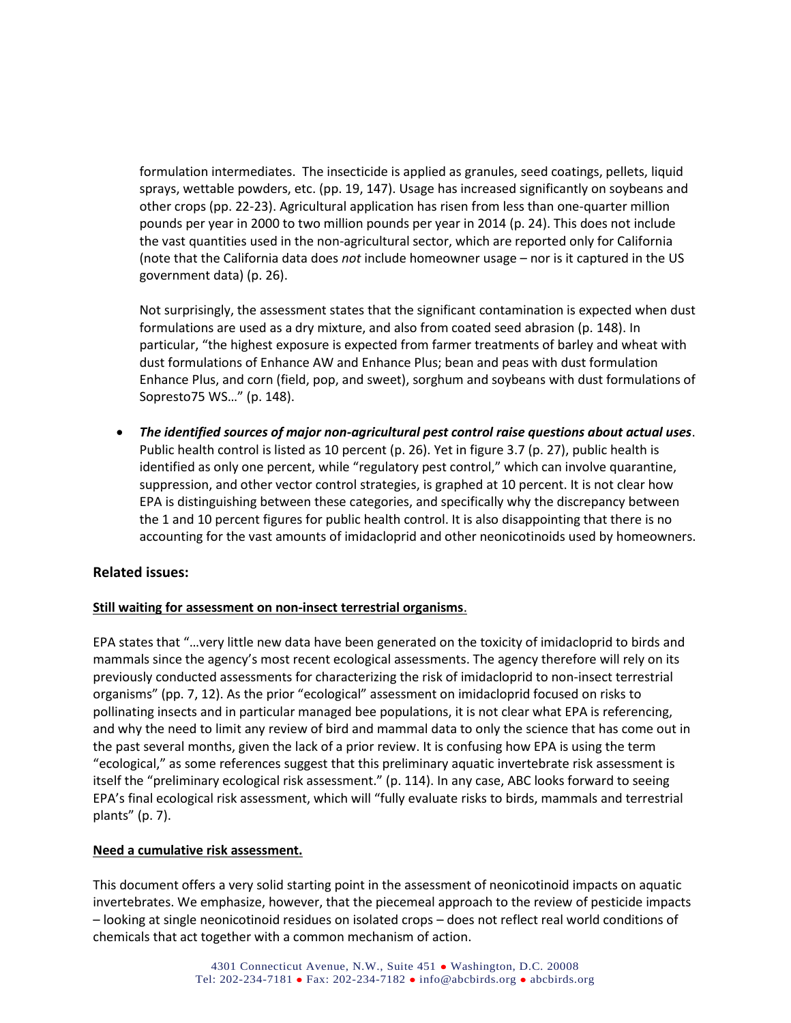formulation intermediates. The insecticide is applied as granules, seed coatings, pellets, liquid sprays, wettable powders, etc. (pp. 19, 147). Usage has increased significantly on soybeans and other crops (pp. 22-23). Agricultural application has risen from less than one-quarter million pounds per year in 2000 to two million pounds per year in 2014 (p. 24). This does not include the vast quantities used in the non-agricultural sector, which are reported only for California (note that the California data does *not* include homeowner usage – nor is it captured in the US government data) (p. 26).

Not surprisingly, the assessment states that the significant contamination is expected when dust formulations are used as a dry mixture, and also from coated seed abrasion (p. 148). In particular, "the highest exposure is expected from farmer treatments of barley and wheat with dust formulations of Enhance AW and Enhance Plus; bean and peas with dust formulation Enhance Plus, and corn (field, pop, and sweet), sorghum and soybeans with dust formulations of Sopresto75 WS…" (p. 148).

 *The identified sources of major non-agricultural pest control raise questions about actual uses*. Public health control is listed as 10 percent (p. 26). Yet in figure 3.7 (p. 27), public health is identified as only one percent, while "regulatory pest control," which can involve quarantine, suppression, and other vector control strategies, is graphed at 10 percent. It is not clear how EPA is distinguishing between these categories, and specifically why the discrepancy between the 1 and 10 percent figures for public health control. It is also disappointing that there is no accounting for the vast amounts of imidacloprid and other neonicotinoids used by homeowners.

# **Related issues:**

### **Still waiting for assessment on non-insect terrestrial organisms**.

EPA states that "…very little new data have been generated on the toxicity of imidacloprid to birds and mammals since the agency's most recent ecological assessments. The agency therefore will rely on its previously conducted assessments for characterizing the risk of imidacloprid to non-insect terrestrial organisms" (pp. 7, 12). As the prior "ecological" assessment on imidacloprid focused on risks to pollinating insects and in particular managed bee populations, it is not clear what EPA is referencing, and why the need to limit any review of bird and mammal data to only the science that has come out in the past several months, given the lack of a prior review. It is confusing how EPA is using the term "ecological," as some references suggest that this preliminary aquatic invertebrate risk assessment is itself the "preliminary ecological risk assessment." (p. 114). In any case, ABC looks forward to seeing EPA's final ecological risk assessment, which will "fully evaluate risks to birds, mammals and terrestrial plants" (p. 7).

### **Need a cumulative risk assessment.**

This document offers a very solid starting point in the assessment of neonicotinoid impacts on aquatic invertebrates. We emphasize, however, that the piecemeal approach to the review of pesticide impacts – looking at single neonicotinoid residues on isolated crops – does not reflect real world conditions of chemicals that act together with a common mechanism of action.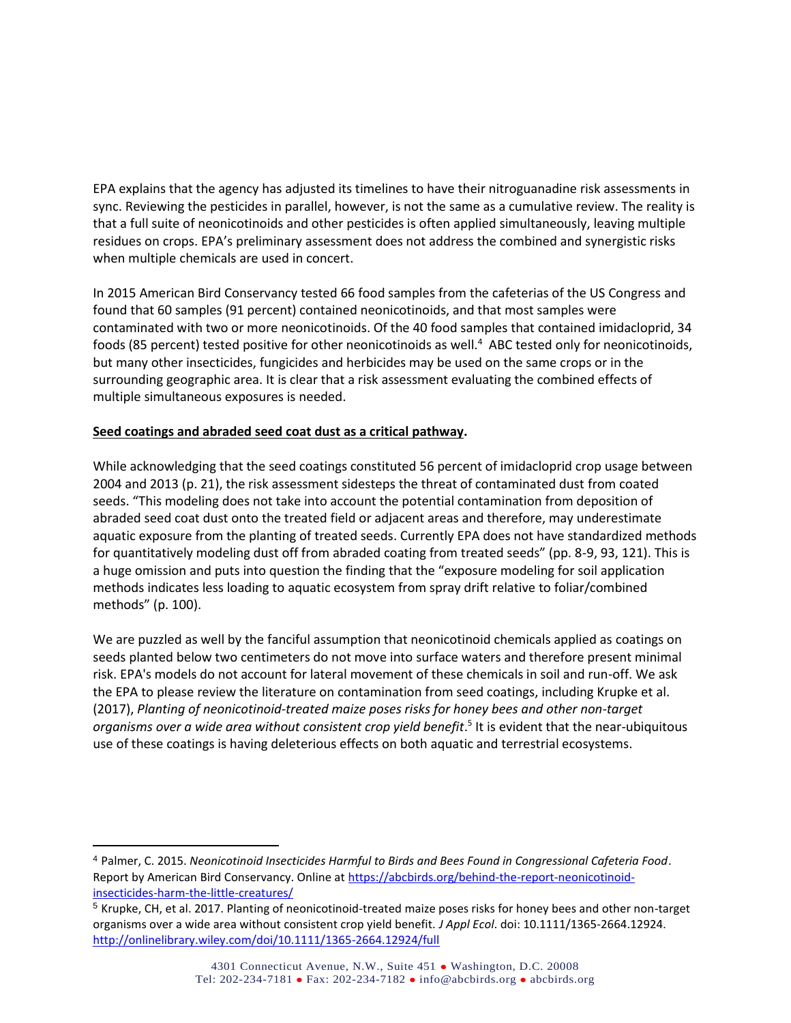EPA explains that the agency has adjusted its timelines to have their nitroguanadine risk assessments in sync. Reviewing the pesticides in parallel, however, is not the same as a cumulative review. The reality is that a full suite of neonicotinoids and other pesticides is often applied simultaneously, leaving multiple residues on crops. EPA's preliminary assessment does not address the combined and synergistic risks when multiple chemicals are used in concert.

In 2015 [American Bird Conservancy tested 66 food samples from the cafeterias of the US Congress](http://abcbirds.org/wp-content/uploads/2015/07/Congressional_Dining_Hall_Report_July_2015.pdf) and found that 60 samples (91 percent) contained neonicotinoids, and that most samples were contaminated with two or more neonicotinoids. Of the 40 food samples that contained imidacloprid, 34 foods (85 percent) tested positive for other neonicotinoids as well.<sup>4</sup> ABC tested only for neonicotinoids, but many other insecticides, fungicides and herbicides may be used on the same crops or in the surrounding geographic area. It is clear that a risk assessment evaluating the combined effects of multiple simultaneous exposures is needed.

## **Seed coatings and abraded seed coat dust as a critical pathway.**

 $\overline{a}$ 

While acknowledging that the seed coatings constituted 56 percent of imidacloprid crop usage between 2004 and 2013 (p. 21), the risk assessment sidesteps the threat of contaminated dust from coated seeds. "This modeling does not take into account the potential contamination from deposition of abraded seed coat dust onto the treated field or adjacent areas and therefore, may underestimate aquatic exposure from the planting of treated seeds. Currently EPA does not have standardized methods for quantitatively modeling dust off from abraded coating from treated seeds" (pp. 8-9, 93, 121). This is a huge omission and puts into question the finding that the "exposure modeling for soil application methods indicates less loading to aquatic ecosystem from spray drift relative to foliar/combined methods" (p. 100).

We are puzzled as well by the fanciful assumption that neonicotinoid chemicals applied as coatings on seeds planted below two centimeters do not move into surface waters and therefore present minimal risk. EPA's models do not account for lateral movement of these chemicals in soil and run-off. We ask the EPA to please review the literature on contamination from seed coatings, including Krupke et al. (2017), *Planting of neonicotinoid-treated maize poses risks for honey bees and other non-target organisms over a wide area without consistent crop yield benefit*. 5 It is evident that the near-ubiquitous use of these coatings is having deleterious effects on both aquatic and terrestrial ecosystems.

<sup>4</sup> Palmer, C. 2015. *Neonicotinoid Insecticides Harmful to Birds and Bees Found in Congressional Cafeteria Food*. Report by American Bird Conservancy. Online at [https://abcbirds.org/behind-the-report-neonicotinoid](https://abcbirds.org/behind-the-report-neonicotinoid-insecticides-harm-the-little-creatures/)[insecticides-harm-the-little-creatures/](https://abcbirds.org/behind-the-report-neonicotinoid-insecticides-harm-the-little-creatures/)

<sup>5</sup> Krupke, CH, et al. 2017. Planting of neonicotinoid-treated maize poses risks for honey bees and other non-target organisms over a wide area without consistent crop yield benefit. *J Appl Ecol*. doi: 10.1111/1365-2664.12924. <http://onlinelibrary.wiley.com/doi/10.1111/1365-2664.12924/full>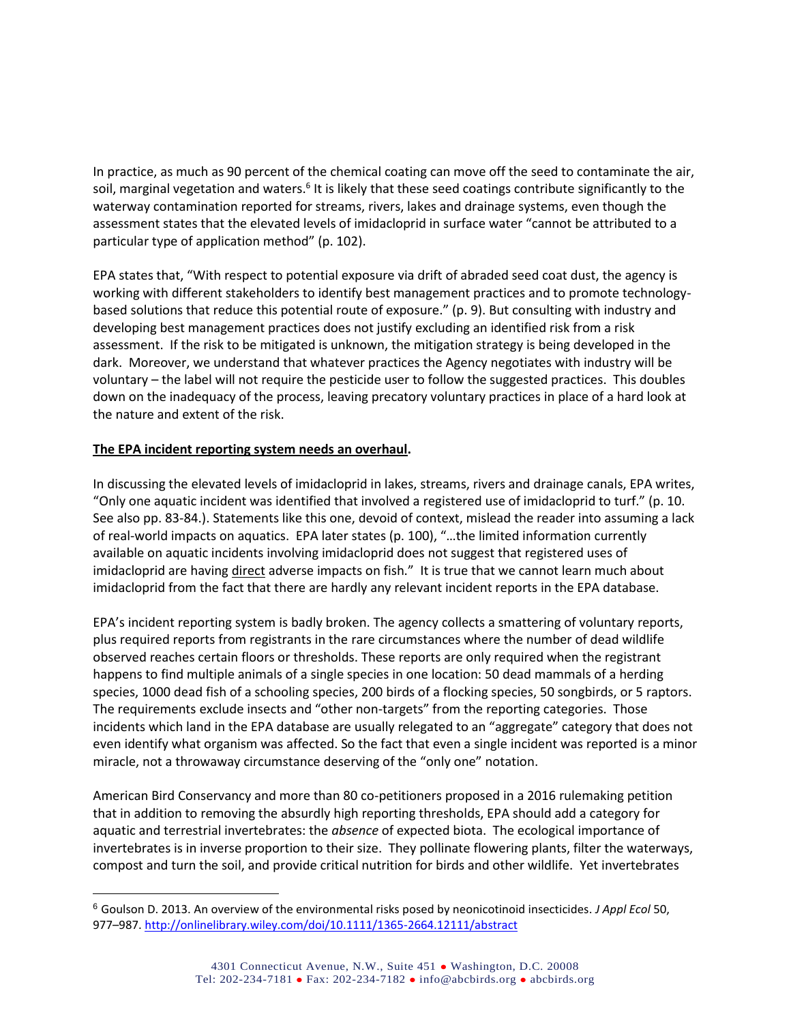In practice, as much as 90 percent of the chemical coating can move off the seed to contaminate the air, soil, marginal vegetation and waters.<sup>6</sup> It is likely that these seed coatings contribute significantly to the waterway contamination reported for streams, rivers, lakes and drainage systems, even though the assessment states that the elevated levels of imidacloprid in surface water "cannot be attributed to a particular type of application method" (p. 102).

EPA states that, "With respect to potential exposure via drift of abraded seed coat dust, the agency is working with different stakeholders to identify best management practices and to promote technologybased solutions that reduce this potential route of exposure." (p. 9). But consulting with industry and developing best management practices does not justify excluding an identified risk from a risk assessment. If the risk to be mitigated is unknown, the mitigation strategy is being developed in the dark. Moreover, we understand that whatever practices the Agency negotiates with industry will be voluntary – the label will not require the pesticide user to follow the suggested practices. This doubles down on the inadequacy of the process, leaving precatory voluntary practices in place of a hard look at the nature and extent of the risk.

### **The EPA incident reporting system needs an overhaul.**

 $\overline{a}$ 

In discussing the elevated levels of imidacloprid in lakes, streams, rivers and drainage canals, EPA writes, "Only one aquatic incident was identified that involved a registered use of imidacloprid to turf." (p. 10. See also pp. 83-84.). Statements like this one, devoid of context, mislead the reader into assuming a lack of real-world impacts on aquatics. EPA later states (p. 100), "…the limited information currently available on aquatic incidents involving imidacloprid does not suggest that registered uses of imidacloprid are having direct adverse impacts on fish." It is true that we cannot learn much about imidacloprid from the fact that there are hardly any relevant incident reports in the EPA database.

EPA's incident reporting system is badly broken. The agency collects a smattering of voluntary reports, plus required reports from registrants in the rare circumstances where the number of dead wildlife observed reaches certain floors or thresholds. These reports are only required when the registrant happens to find multiple animals of a single species in one location: 50 dead mammals of a herding species, 1000 dead fish of a schooling species, 200 birds of a flocking species, 50 songbirds, or 5 raptors. The requirements exclude insects and "other non-targets" from the reporting categories. Those incidents which land in the EPA database are usually relegated to an "aggregate" category that does not even identify what organism was affected. So the fact that even a single incident was reported is a minor miracle, not a throwaway circumstance deserving of the "only one" notation.

American Bird Conservancy and more than 80 co-petitioners proposed in a 2016 rulemaking petition that in addition to removing the absurdly high reporting thresholds, EPA should add a category for aquatic and terrestrial invertebrates: the *absence* of expected biota. The ecological importance of invertebrates is in inverse proportion to their size. They pollinate flowering plants, filter the waterways, compost and turn the soil, and provide critical nutrition for birds and other wildlife. Yet invertebrates

<sup>6</sup> Goulson D. 2013. An overview of the environmental risks posed by neonicotinoid insecticides. *J Appl Ecol* 50, 977–987. <http://onlinelibrary.wiley.com/doi/10.1111/1365-2664.12111/abstract>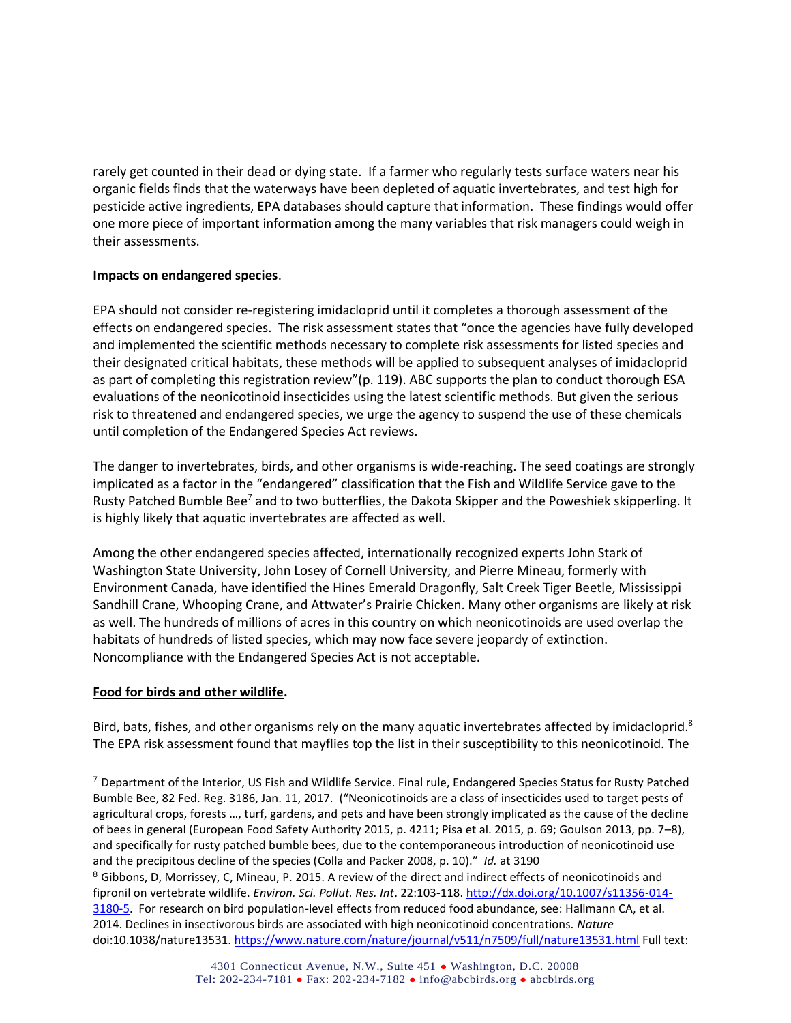rarely get counted in their dead or dying state. If a farmer who regularly tests surface waters near his organic fields finds that the waterways have been depleted of aquatic invertebrates, and test high for pesticide active ingredients, EPA databases should capture that information. These findings would offer one more piece of important information among the many variables that risk managers could weigh in their assessments.

### **Impacts on endangered species**.

EPA should not consider re-registering imidacloprid until it completes a thorough assessment of the effects on endangered species. The risk assessment states that "once the agencies have fully developed and implemented the scientific methods necessary to complete risk assessments for listed species and their designated critical habitats, these methods will be applied to subsequent analyses of imidacloprid as part of completing this registration review"(p. 119). ABC supports the plan to conduct thorough ESA evaluations of the neonicotinoid insecticides using the latest scientific methods. But given the serious risk to threatened and endangered species, we urge the agency to suspend the use of these chemicals until completion of the Endangered Species Act reviews.

The danger to invertebrates, birds, and other organisms is wide-reaching. The seed coatings are strongly implicated as a factor in the "endangered" classification that the Fish and Wildlife Service gave to the Rusty Patched Bumble Bee<sup>7</sup> and to two butterflies, the Dakota Skipper and the Poweshiek skipperling. It is highly likely that aquatic invertebrates are affected as well.

Among the other endangered species affected, internationally recognized experts John Stark of Washington State University, John Losey of Cornell University, and Pierre Mineau, formerly with Environment Canada, have identified the Hines Emerald Dragonfly, Salt Creek Tiger Beetle, Mississippi Sandhill Crane, Whooping Crane, and Attwater's Prairie Chicken. Many other organisms are likely at risk as well. The hundreds of millions of acres in this country on which neonicotinoids are used overlap the habitats of hundreds of listed species, which may now face severe jeopardy of extinction. Noncompliance with the Endangered Species Act is not acceptable.

# **Food for birds and other wildlife.**

 $\overline{a}$ 

Bird, bats, fishes, and other organisms rely on the many aquatic invertebrates affected by imidacloprid.<sup>8</sup> The EPA risk assessment found that mayflies top the list in their susceptibility to this neonicotinoid. The

<sup>7</sup> Department of the Interior, US Fish and Wildlife Service. Final rule, Endangered Species Status for Rusty Patched Bumble Bee, 82 Fed. Reg. 3186, Jan. 11, 2017. ("Neonicotinoids are a class of insecticides used to target pests of agricultural crops, forests …, turf, gardens, and pets and have been strongly implicated as the cause of the decline of bees in general (European Food Safety Authority 2015, p. 4211; Pisa et al. 2015, p. 69; Goulson 2013, pp. 7–8), and specifically for rusty patched bumble bees, due to the contemporaneous introduction of neonicotinoid use and the precipitous decline of the species (Colla and Packer 2008, p. 10)." *Id.* at 3190

<sup>8</sup> Gibbons, D, Morrissey, C, Mineau, P. 2015. A review of the direct and indirect effects of neonicotinoids and fipronil on vertebrate wildlife. *Environ. Sci. Pollut. Res. Int*. 22:103-118. [http://dx.doi.org/10.1007/s11356-014-](http://dx.doi.org/10.1007/s11356-014-3180-5) [3180-5.](http://dx.doi.org/10.1007/s11356-014-3180-5) For research on bird population-level effects from reduced food abundance, see: Hallmann CA, et al. 2014. Declines in insectivorous birds are associated with high neonicotinoid concentrations. *Nature*  doi:10.1038/nature13531[. https://www.nature.com/nature/journal/v511/n7509/full/nature13531.html](https://www.nature.com/nature/journal/v511/n7509/full/nature13531.html) Full text: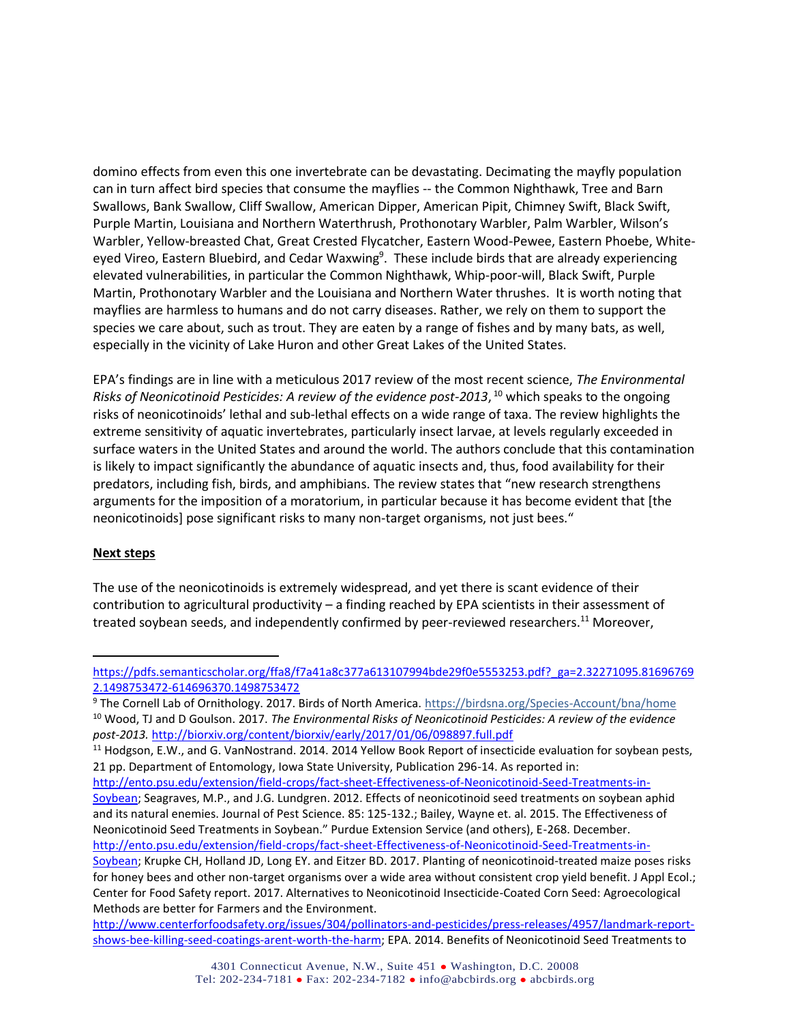domino effects from even this one invertebrate can be devastating. Decimating the mayfly population can in turn affect bird species that consume the mayflies -- the Common Nighthawk, Tree and Barn Swallows, Bank Swallow, Cliff Swallow, American Dipper, American Pipit, Chimney Swift, Black Swift, Purple Martin, Louisiana and Northern Waterthrush, Prothonotary Warbler, Palm Warbler, Wilson's Warbler, Yellow-breasted Chat, Great Crested Flycatcher, Eastern Wood-Pewee, Eastern Phoebe, Whiteeyed Vireo, Eastern Bluebird, and Cedar Waxwing<sup>9</sup>. These include birds that are already experiencing elevated vulnerabilities, in particular the Common Nighthawk, Whip-poor-will, Black Swift, Purple Martin, Prothonotary Warbler and the Louisiana and Northern Water thrushes. It is worth noting that mayflies are harmless to humans and do not carry diseases. Rather, we rely on them to support the species we care about, such as trout. They are eaten by a range of fishes and by many bats, as well, especially in the vicinity of Lake Huron and other Great Lakes of the United States.

EPA's findings are in line with a meticulous 2017 review of the most recent science, *The Environmental*  Risks of Neonicotinoid Pesticides: A review of the evidence post-2013, <sup>10</sup> which speaks to the ongoing risks of neonicotinoids' lethal and sub-lethal effects on a wide range of taxa. The review highlights the extreme sensitivity of aquatic invertebrates, particularly insect larvae, at levels regularly exceeded in surface waters in the United States and around the world. The authors conclude that this contamination is likely to impact significantly the abundance of aquatic insects and, thus, food availability for their predators, including fish, birds, and amphibians. The review states that "new research strengthens arguments for the imposition of a moratorium, in particular because it has become evident that [the neonicotinoids] pose significant risks to many non-target organisms, not just bees."

### **Next steps**

 $\overline{a}$ 

The use of the neonicotinoids is extremely widespread, and yet there is scant evidence of their contribution to agricultural productivity – a finding reached by EPA scientists in their assessment of treated soybean seeds, and independently confirmed by peer-reviewed researchers.<sup>11</sup> Moreover,

[http://www.centerforfoodsafety.org/issues/304/pollinators-and-pesticides/press-releases/4957/landmark-report](http://www.centerforfoodsafety.org/issues/304/pollinators-and-pesticides/press-releases/4957/landmark-report-shows-bee-killing-seed-coatings-arent-worth-the-harm)[shows-bee-killing-seed-coatings-arent-worth-the-harm;](http://www.centerforfoodsafety.org/issues/304/pollinators-and-pesticides/press-releases/4957/landmark-report-shows-bee-killing-seed-coatings-arent-worth-the-harm) EPA. 2014. Benefits of Neonicotinoid Seed Treatments to

[https://pdfs.semanticscholar.org/ffa8/f7a41a8c377a613107994bde29f0e5553253.pdf?\\_ga=2.32271095.81696769](https://pdfs.semanticscholar.org/ffa8/f7a41a8c377a613107994bde29f0e5553253.pdf?_ga=2.32271095.816967692.1498753472-614696370.1498753472) [2.1498753472-614696370.1498753472](https://pdfs.semanticscholar.org/ffa8/f7a41a8c377a613107994bde29f0e5553253.pdf?_ga=2.32271095.816967692.1498753472-614696370.1498753472)

<sup>9</sup> The Cornell Lab of Ornithology. 2017. Birds of North America.<https://birdsna.org/Species-Account/bna/home> <sup>10</sup> Wood, TJ and D Goulson. 2017. *The Environmental Risks of Neonicotinoid Pesticides: A review of the evidence post-2013.* <http://biorxiv.org/content/biorxiv/early/2017/01/06/098897.full.pdf>

 $11$  Hodgson, E.W., and G. VanNostrand. 2014. 2014 Yellow Book Report of insecticide evaluation for soybean pests, 21 pp. Department of Entomology, Iowa State University, Publication 296-14. As reported in:

[http://ento.psu.edu/extension/field-crops/fact-sheet-Effectiveness-of-Neonicotinoid-Seed-Treatments-in-](http://ento.psu.edu/extension/field-crops/fact-sheet-Effectiveness-of-Neonicotinoid-Seed-Treatments-in-Soybean)[Soybean;](http://ento.psu.edu/extension/field-crops/fact-sheet-Effectiveness-of-Neonicotinoid-Seed-Treatments-in-Soybean) Seagraves, M.P., and J.G. Lundgren. 2012. Effects of neonicotinoid seed treatments on soybean aphid and its natural enemies. Journal of Pest Science. 85: 125-132.; Bailey, Wayne et. al. 2015. The Effectiveness of Neonicotinoid Seed Treatments in Soybean." Purdue Extension Service (and others), E-268. December. [http://ento.psu.edu/extension/field-crops/fact-sheet-Effectiveness-of-Neonicotinoid-Seed-Treatments-in-](http://ento.psu.edu/extension/field-crops/fact-sheet-Effectiveness-of-Neonicotinoid-Seed-Treatments-in-Soybean)[Soybean;](http://ento.psu.edu/extension/field-crops/fact-sheet-Effectiveness-of-Neonicotinoid-Seed-Treatments-in-Soybean) Krupke CH, Holland JD, Long EY. and Eitzer BD. 2017. Planting of neonicotinoid-treated maize poses risks for honey bees and other non-target organisms over a wide area without consistent crop yield benefit. J Appl Ecol.; Center for Food Safety report. 2017. Alternatives to Neonicotinoid Insecticide-Coated Corn Seed: Agroecological Methods are better for Farmers and the Environment.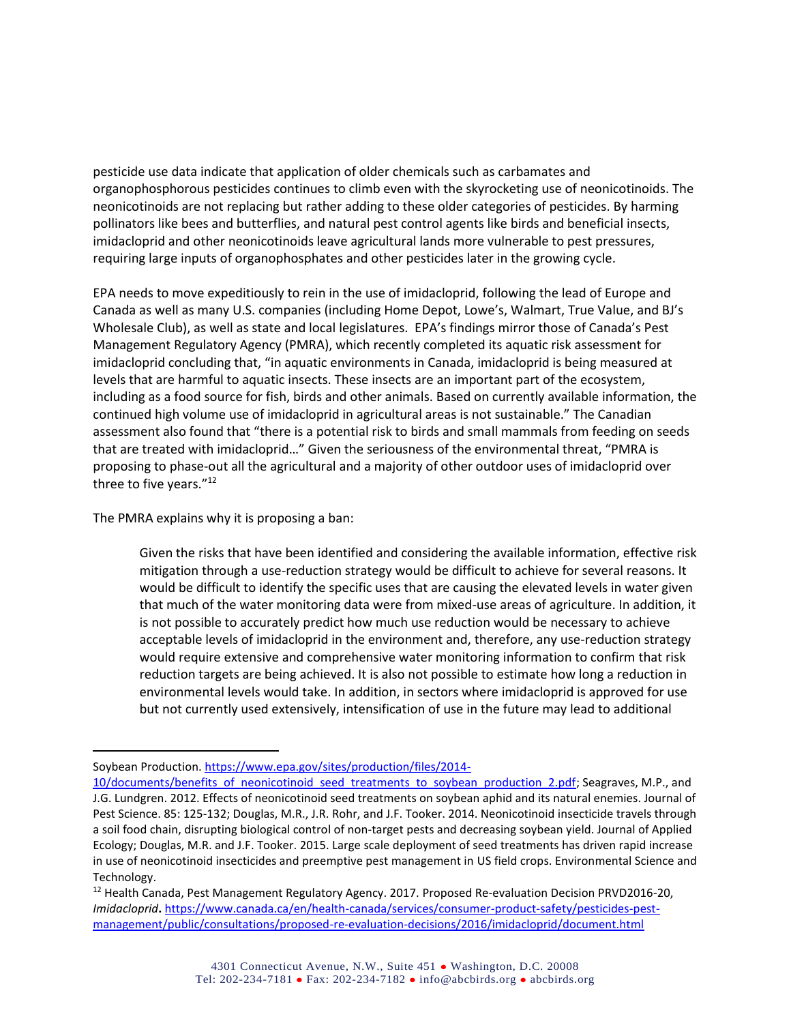pesticide use data indicate that application of older chemicals such as carbamates and organophosphorous pesticides continues to climb even with the skyrocketing use of neonicotinoids. The neonicotinoids are not replacing but rather adding to these older categories of pesticides. By harming pollinators like bees and butterflies, and natural pest control agents like birds and beneficial insects, imidacloprid and other neonicotinoids leave agricultural lands more vulnerable to pest pressures, requiring large inputs of organophosphates and other pesticides later in the growing cycle.

EPA needs to move expeditiously to rein in the use of imidacloprid, following the lead of Europe and Canada as well as many U.S. companies (including Home Depot, Lowe's, Walmart, True Value, and BJ's Wholesale Club), as well as state and local legislatures. EPA's findings mirror those of Canada's Pest Management Regulatory Agency (PMRA), which recently completed its aquatic risk assessment for imidacloprid concluding that, "in aquatic environments in Canada, imidacloprid is being measured at levels that are harmful to aquatic insects. These insects are an important part of the ecosystem, including as a food source for fish, birds and other animals. Based on currently available information, the continued high volume use of imidacloprid in agricultural areas is not sustainable." The Canadian assessment also found that "there is a potential risk to birds and small mammals from feeding on seeds that are treated with imidacloprid…" Given the seriousness of the environmental threat, "PMRA is proposing to phase-out all the agricultural and a majority of other outdoor uses of imidacloprid over three to five years."<sup>12</sup>

The PMRA explains why it is proposing a ban:

 $\overline{a}$ 

Given the risks that have been identified and considering the available information, effective risk mitigation through a use-reduction strategy would be difficult to achieve for several reasons. It would be difficult to identify the specific uses that are causing the elevated levels in water given that much of the water monitoring data were from mixed-use areas of agriculture. In addition, it is not possible to accurately predict how much use reduction would be necessary to achieve acceptable levels of imidacloprid in the environment and, therefore, any use-reduction strategy would require extensive and comprehensive water monitoring information to confirm that risk reduction targets are being achieved. It is also not possible to estimate how long a reduction in environmental levels would take. In addition, in sectors where imidacloprid is approved for use but not currently used extensively, intensification of use in the future may lead to additional

Soybean Production[. https://www.epa.gov/sites/production/files/2014-](https://www.epa.gov/sites/production/files/2014-10/documents/benefits_of_neonicotinoid_seed_treatments_to_soybean_production_2.pdf)

<sup>10/</sup>documents/benefits of neonicotinoid seed treatments to soybean production 2.pdf; Seagraves, M.P., and J.G. Lundgren. 2012. Effects of neonicotinoid seed treatments on soybean aphid and its natural enemies. Journal of Pest Science. 85: 125-132; Douglas, M.R., J.R. Rohr, and J.F. Tooker. 2014. Neonicotinoid insecticide travels through a soil food chain, disrupting biological control of non-target pests and decreasing soybean yield. Journal of Applied Ecology; Douglas, M.R. and J.F. Tooker. 2015. Large scale deployment of seed treatments has driven rapid increase in use of neonicotinoid insecticides and preemptive pest management in US field crops. Environmental Science and Technology.

<sup>&</sup>lt;sup>12</sup> Health Canada, Pest Management Regulatory Agency. 2017. Proposed Re-evaluation Decision PRVD2016-20, *Imidacloprid***.** [https://www.canada.ca/en/health-canada/services/consumer-product-safety/pesticides-pest](https://www.canada.ca/en/health-canada/services/consumer-product-safety/pesticides-pest-management/public/consultations/proposed-re-evaluation-decisions/2016/imidacloprid/document.html)[management/public/consultations/proposed-re-evaluation-decisions/2016/imidacloprid/document.html](https://www.canada.ca/en/health-canada/services/consumer-product-safety/pesticides-pest-management/public/consultations/proposed-re-evaluation-decisions/2016/imidacloprid/document.html)